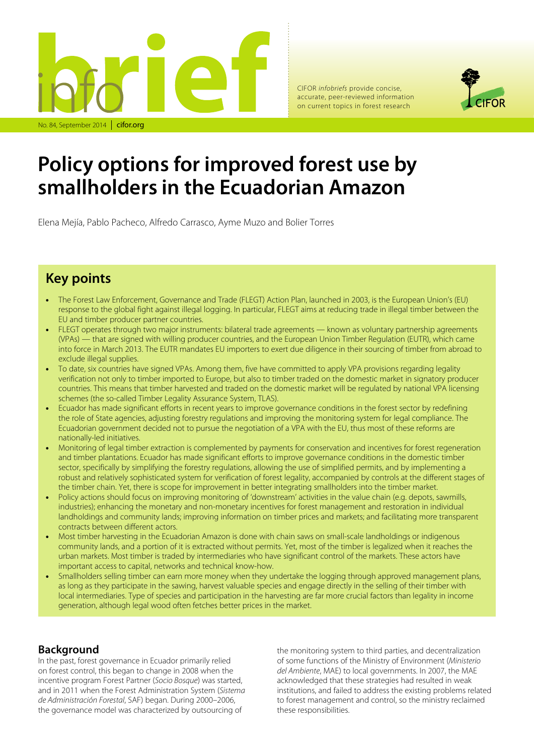

CIFOR *infobriefs* provide concise, accurate, peer-reviewed information on current topics in forest research



# **Policy options for improved forest use by smallholders in the Ecuadorian Amazon**

Elena Mejía, Pablo Pacheco, Alfredo Carrasco, Ayme Muzo and Bolier Torres

## **Key points**

- The Forest Law Enforcement, Governance and Trade (FLEGT) Action Plan, launched in 2003, is the European Union's (EU) response to the global fight against illegal logging. In particular, FLEGT aims at reducing trade in illegal timber between the EU and timber producer partner countries.
- FLEGT operates through two major instruments: bilateral trade agreements known as voluntary partnership agreements (VPAs) — that are signed with willing producer countries, and the European Union Timber Regulation (EUTR), which came into force in March 2013. The EUTR mandates EU importers to exert due diligence in their sourcing of timber from abroad to exclude illegal supplies.
- To date, six countries have signed VPAs. Among them, five have committed to apply VPA provisions regarding legality verification not only to timber imported to Europe, but also to timber traded on the domestic market in signatory producer countries. This means that timber harvested and traded on the domestic market will be regulated by national VPA licensing schemes (the so-called Timber Legality Assurance System, TLAS).
- Ecuador has made significant efforts in recent years to improve governance conditions in the forest sector by redefining the role of State agencies, adjusting forestry regulations and improving the monitoring system for legal compliance. The Ecuadorian government decided not to pursue the negotiation of a VPA with the EU, thus most of these reforms are nationally-led initiatives.
- Monitoring of legal timber extraction is complemented by payments for conservation and incentives for forest regeneration and timber plantations. Ecuador has made significant efforts to improve governance conditions in the domestic timber sector, specifically by simplifying the forestry regulations, allowing the use of simplified permits, and by implementing a robust and relatively sophisticated system for verification of forest legality, accompanied by controls at the different stages of the timber chain. Yet, there is scope for improvement in better integrating smallholders into the timber market.
- Policy actions should focus on improving monitoring of 'downstream' activities in the value chain (e.g. depots, sawmills, industries); enhancing the monetary and non-monetary incentives for forest management and restoration in individual landholdings and community lands; improving information on timber prices and markets; and facilitating more transparent contracts between different actors.
- Most timber harvesting in the Ecuadorian Amazon is done with chain saws on small-scale landholdings or indigenous community lands, and a portion of it is extracted without permits. Yet, most of the timber is legalized when it reaches the urban markets. Most timber is traded by intermediaries who have significant control of the markets. These actors have important access to capital, networks and technical know-how.
- Smallholders selling timber can earn more money when they undertake the logging through approved management plans, as long as they participate in the sawing, harvest valuable species and engage directly in the selling of their timber with local intermediaries. Type of species and participation in the harvesting are far more crucial factors than legality in income generation, although legal wood often fetches better prices in the market.

#### **Background**

In the past, forest governance in Ecuador primarily relied on forest control, this began to change in 2008 when the incentive program Forest Partner (*Socio Bosque*) was started, and in 2011 when the Forest Administration System (*Sistema de Administración Forestal*, SAF) began. During 2000–2006, the governance model was characterized by outsourcing of

the monitoring system to third parties, and decentralization of some functions of the Ministry of Environment (*Ministerio del Ambiente*, MAE) to local governments. In 2007, the MAE acknowledged that these strategies had resulted in weak institutions, and failed to address the existing problems related to forest management and control, so the ministry reclaimed these responsibilities.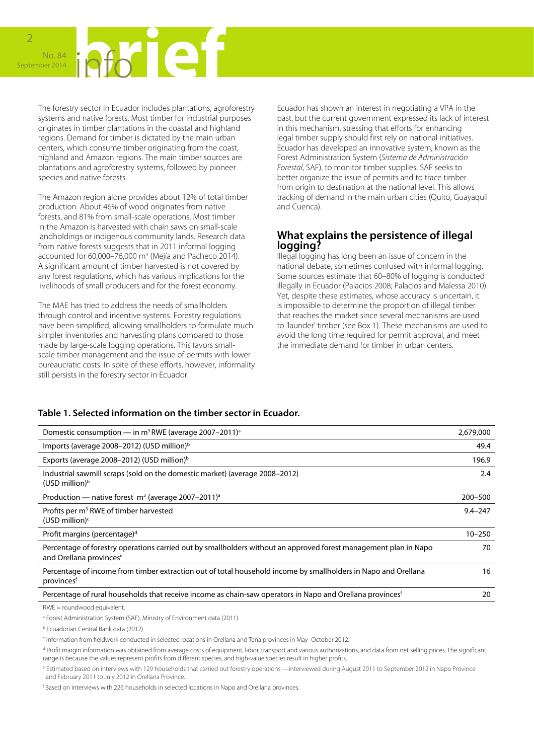

The forestry sector in Ecuador includes plantations, agroforestry systems and native forests. Most timber for industrial purposes originates in timber plantations in the coastal and highland regions. Demand for timber is dictated by the main urban centers, which consume timber originating from the coast, highland and Amazon regions. The main timber sources are plantations and agroforestry systems, followed by pioneer species and native forests.

The Amazon region alone provides about 12% of total timber production. About 46% of wood originates from native forests, and 81% from small-scale operations. Most timber in the Amazon is harvested with chain saws on small-scale landholdings or indigenous community lands. Research data from native forests suggests that in 2011 informal logging accounted for  $60,000 - 76,000$  m<sup>3</sup> (Mejía and Pacheco 2014). A significant amount of timber harvested is not covered by any forest regulations, which has various implications for the livelihoods of small producers and for the forest economy.

The MAE has tried to address the needs of smallholders through control and incentive systems. Forestry regulations have been simplified, allowing smallholders to formulate much simpler inventories and harvesting plans compared to those made by large-scale logging operations. This favors smallscale timber management and the issue of permits with lower bureaucratic costs. In spite of these efforts, however, informality still persists in the forestry sector in Ecuador.

Ecuador has shown an interest in negotiating a VPA in the past, but the current government expressed its lack of interest in this mechanism, stressing that efforts for enhancing legal timber supply should first rely on national initiatives. Ecuador has developed an innovative system, known as the Forest Administration System (*Sistema de Administración Forestal*, SAF), to monitor timber supplies. SAF seeks to better organize the issue of permits and to trace timber from origin to destination at the national level. This allows tracking of demand in the main urban cities (Quito, Guayaquil and Cuenca).

#### **What explains the persistence of illegal logging?**

Illegal logging has long been an issue of concern in the national debate, sometimes confused with informal logging. Some sources estimate that 60–80% of logging is conducted illegally in Ecuador (Palacios 2008; Palacios and Malessa 2010). Yet, despite these estimates, whose accuracy is uncertain, it is impossible to determine the proportion of illegal timber that reaches the market since several mechanisms are used to 'launder' timber (see Box 1). These mechanisms are used to avoid the long time required for permit approval, and meet the immediate demand for timber in urban centers.

#### **Table 1. Selected information on the timber sector in Ecuador.**

| Domestic consumption — in $m^3$ RWE (average 2007–2011) <sup>a</sup>                                                                                    | 2,679,000   |
|---------------------------------------------------------------------------------------------------------------------------------------------------------|-------------|
| Imports (average 2008–2012) (USD million) <sup>b</sup>                                                                                                  | 49.4        |
| Exports (average 2008–2012) (USD million) <sup>b</sup>                                                                                                  | 196.9       |
| Industrial sawmill scraps (sold on the domestic market) (average 2008-2012)<br>$(USD$ million) <sup>b</sup>                                             | 2.4         |
| Production — native forest $m^3$ (average 2007–2011) <sup>a</sup>                                                                                       | 200-500     |
| Profits per m <sup>3</sup> RWE of timber harvested<br>(USD million) $c$                                                                                 | $9.4 - 247$ |
| Profit margins (percentage) <sup>d</sup>                                                                                                                | $10 - 250$  |
| Percentage of forestry operations carried out by smallholders without an approved forest management plan in Napo<br>and Orellana provinces <sup>e</sup> | 70          |
| Percentage of income from timber extraction out of total household income by smallholders in Napo and Orellana<br>provinces <sup>f</sup>                | 16          |
| Percentage of rural households that receive income as chain-saw operators in Napo and Orellana provinces <sup>f</sup>                                   | 20          |
|                                                                                                                                                         |             |

RWE = roundwood equivalent.

<sup>a</sup> Forest Administration System (SAF), Ministry of Environment data (2011).

b Ecuadorian Central Bank data (2012).

c Information from fieldwork conducted in selected locations in Orellana and Tena provinces in May–October 2012.

<sup>d</sup> Profit margin information was obtained from average costs of equipment, labor, transport and various authorizations, and data from net selling prices. The significant range is because the values represent profits from different species, and high-value species result in higher profits.

e Estimated based on interviews with 129 households that carried out forestry operations —interviewed during August 2011 to September 2012 in Napo Province and February 2011 to July 2012 in Orellana Province.

f Based on interviews with 226 households in selected locations in Napo and Orellana provinces.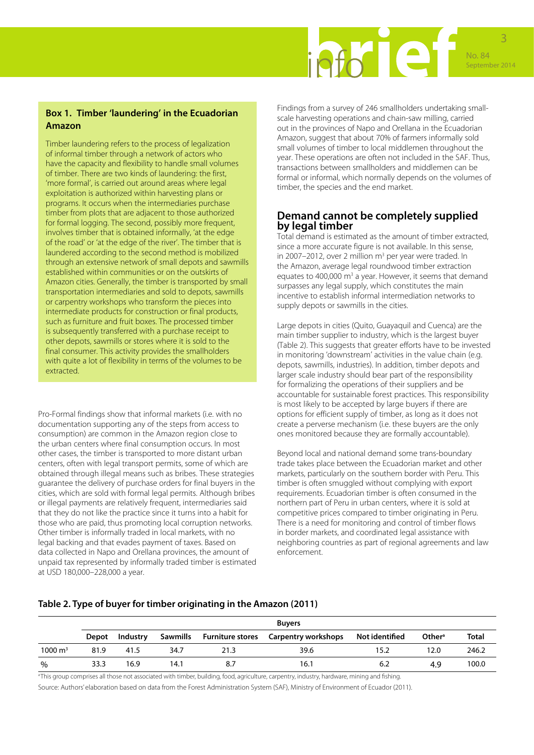

#### **Box 1. Timber 'laundering' in the Ecuadorian Amazon**

Timber laundering refers to the process of legalization of informal timber through a network of actors who have the capacity and flexibility to handle small volumes of timber. There are two kinds of laundering: the first, 'more formal', is carried out around areas where legal exploitation is authorized within harvesting plans or programs. It occurs when the intermediaries purchase timber from plots that are adjacent to those authorized for formal logging. The second, possibly more frequent, involves timber that is obtained informally, 'at the edge of the road' or 'at the edge of the river'. The timber that is laundered according to the second method is mobilized through an extensive network of small depots and sawmills established within communities or on the outskirts of Amazon cities. Generally, the timber is transported by small transportation intermediaries and sold to depots, sawmills or carpentry workshops who transform the pieces into intermediate products for construction or final products, such as furniture and fruit boxes. The processed timber is subsequently transferred with a purchase receipt to other depots, sawmills or stores where it is sold to the final consumer. This activity provides the smallholders with quite a lot of flexibility in terms of the volumes to be extracted.

Pro-Formal findings show that informal markets (i.e. with no documentation supporting any of the steps from access to consumption) are common in the Amazon region close to the urban centers where final consumption occurs. In most other cases, the timber is transported to more distant urban centers, often with legal transport permits, some of which are obtained through illegal means such as bribes. These strategies guarantee the delivery of purchase orders for final buyers in the cities, which are sold with formal legal permits. Although bribes or illegal payments are relatively frequent, intermediaries said that they do not like the practice since it turns into a habit for those who are paid, thus promoting local corruption networks. Other timber is informally traded in local markets, with no legal backing and that evades payment of taxes. Based on data collected in Napo and Orellana provinces, the amount of unpaid tax represented by informally traded timber is estimated at USD 180,000–228,000 a year.

Findings from a survey of 246 smallholders undertaking smallscale harvesting operations and chain-saw milling, carried out in the provinces of Napo and Orellana in the Ecuadorian Amazon, suggest that about 70% of farmers informally sold small volumes of timber to local middlemen throughout the year. These operations are often not included in the SAF. Thus, transactions between smallholders and middlemen can be formal or informal, which normally depends on the volumes of timber, the species and the end market.

#### **Demand cannot be completely supplied by legal timber**

Total demand is estimated as the amount of timber extracted, since a more accurate figure is not available. In this sense, in 2007-2012, over 2 million m<sup>3</sup> per year were traded. In the Amazon, average legal roundwood timber extraction equates to 400,000  $\text{m}^3$  a year. However, it seems that demand surpasses any legal supply, which constitutes the main incentive to establish informal intermediation networks to supply depots or sawmills in the cities.

Large depots in cities (Quito, Guayaquil and Cuenca) are the main timber supplier to industry, which is the largest buyer (Table 2). This suggests that greater efforts have to be invested in monitoring 'downstream' activities in the value chain (e.g. depots, sawmills, industries). In addition, timber depots and larger scale industry should bear part of the responsibility for formalizing the operations of their suppliers and be accountable for sustainable forest practices. This responsibility is most likely to be accepted by large buyers if there are options for efficient supply of timber, as long as it does not create a perverse mechanism (i.e. these buyers are the only ones monitored because they are formally accountable).

Beyond local and national demand some trans-boundary trade takes place between the Ecuadorian market and other markets, particularly on the southern border with Peru. This timber is often smuggled without complying with export requirements. Ecuadorian timber is often consumed in the northern part of Peru in urban centers, where it is sold at competitive prices compared to timber originating in Peru. There is a need for monitoring and control of timber flows in border markets, and coordinated legal assistance with neighboring countries as part of regional agreements and law enforcement.

#### **Table 2. Type of buyer for timber originating in the Amazon (2011)**

|                    | <b>Buyers</b> |          |          |      |                                             |                |                    |       |  |
|--------------------|---------------|----------|----------|------|---------------------------------------------|----------------|--------------------|-------|--|
|                    | Depot         | Industry | Sawmills |      | <b>Furniture stores</b> Carpentry workshops | Not identified | Other <sup>a</sup> | Total |  |
| $1000 \text{ m}^3$ | 81.9          | 41.5     | 34.7     | 21.3 | 39.6                                        | 15.2           | 12.0               | 246.2 |  |
| %                  | 33.3          | 16.9     | 14.1     |      | 16.1                                        | 6.2            | 49                 | 100.0 |  |

a This group comprises all those not associated with timber, building, food, agriculture, carpentry, industry, hardware, mining and fishing.

Source: Authors' elaboration based on data from the Forest Administration System (SAF), Ministry of Environment of Ecuador (2011).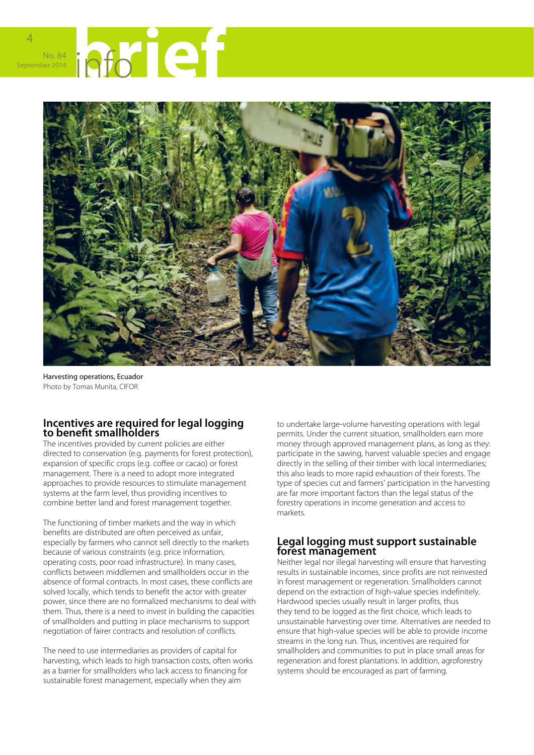



Harvesting operations, Ecuador Photo by Tomas Munita, CIFOR

#### **Incentives are required for legal logging to benefit smallholders**

The incentives provided by current policies are either directed to conservation (e.g. payments for forest protection), expansion of specific crops (e.g. coffee or cacao) or forest management. There is a need to adopt more integrated approaches to provide resources to stimulate management systems at the farm level, thus providing incentives to combine better land and forest management together.

The functioning of timber markets and the way in which benefits are distributed are often perceived as unfair, especially by farmers who cannot sell directly to the markets because of various constraints (e.g. price information, operating costs, poor road infrastructure). In many cases, conflicts between middlemen and smallholders occur in the absence of formal contracts. In most cases, these conflicts are solved locally, which tends to benefit the actor with greater power, since there are no formalized mechanisms to deal with them. Thus, there is a need to invest in building the capacities of smallholders and putting in place mechanisms to support negotiation of fairer contracts and resolution of conflicts.

The need to use intermediaries as providers of capital for harvesting, which leads to high transaction costs, often works as a barrier for smallholders who lack access to financing for sustainable forest management, especially when they aim

to undertake large-volume harvesting operations with legal permits. Under the current situation, smallholders earn more money through approved management plans, as long as they: participate in the sawing, harvest valuable species and engage directly in the selling of their timber with local intermediaries; this also leads to more rapid exhaustion of their forests. The type of species cut and farmers' participation in the harvesting are far more important factors than the legal status of the forestry operations in income generation and access to markets.

#### **Legal logging must support sustainable forest management**

Neither legal nor illegal harvesting will ensure that harvesting results in sustainable incomes, since profits are not reinvested in forest management or regeneration. Smallholders cannot depend on the extraction of high-value species indefinitely. Hardwood species usually result in larger profits, thus they tend to be logged as the first choice, which leads to unsustainable harvesting over time. Alternatives are needed to ensure that high-value species will be able to provide income streams in the long run. Thus, incentives are required for smallholders and communities to put in place small areas for regeneration and forest plantations. In addition, agroforestry systems should be encouraged as part of farming.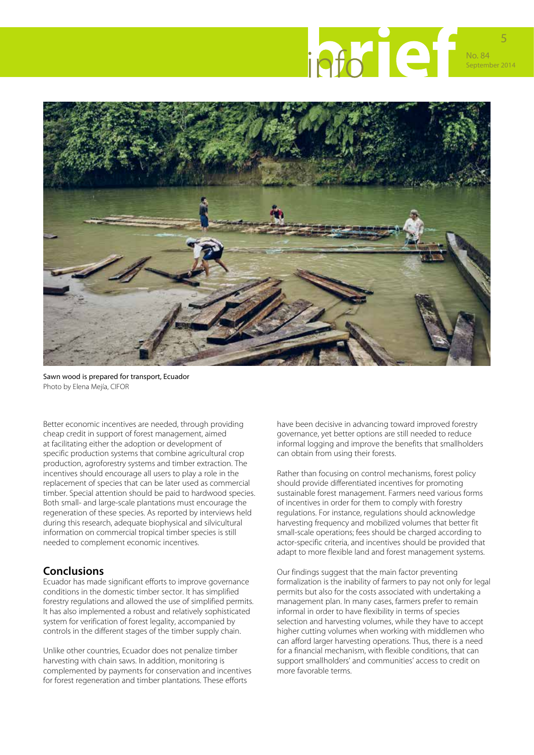

Sawn wood is prepared for transport, Ecuador Photo by Elena Mejía, CIFOR

Better economic incentives are needed, through providing cheap credit in support of forest management, aimed at facilitating either the adoption or development of specific production systems that combine agricultural crop production, agroforestry systems and timber extraction. The incentives should encourage all users to play a role in the replacement of species that can be later used as commercial timber. Special attention should be paid to hardwood species. Both small- and large-scale plantations must encourage the regeneration of these species. As reported by interviews held during this research, adequate biophysical and silvicultural information on commercial tropical timber species is still needed to complement economic incentives.

#### **Conclusions**

Ecuador has made significant efforts to improve governance conditions in the domestic timber sector. It has simplified forestry regulations and allowed the use of simplified permits. It has also implemented a robust and relatively sophisticated system for verification of forest legality, accompanied by controls in the different stages of the timber supply chain.

Unlike other countries, Ecuador does not penalize timber harvesting with chain saws. In addition, monitoring is complemented by payments for conservation and incentives for forest regeneration and timber plantations. These efforts

have been decisive in advancing toward improved forestry governance, yet better options are still needed to reduce informal logging and improve the benefits that smallholders can obtain from using their forests.

Rather than focusing on control mechanisms, forest policy should provide differentiated incentives for promoting sustainable forest management. Farmers need various forms of incentives in order for them to comply with forestry regulations. For instance, regulations should acknowledge harvesting frequency and mobilized volumes that better fit small-scale operations; fees should be charged according to actor-specific criteria, and incentives should be provided that adapt to more flexible land and forest management systems.

Our findings suggest that the main factor preventing formalization is the inability of farmers to pay not only for legal permits but also for the costs associated with undertaking a management plan. In many cases, farmers prefer to remain informal in order to have flexibility in terms of species selection and harvesting volumes, while they have to accept higher cutting volumes when working with middlemen who can afford larger harvesting operations. Thus, there is a need for a financial mechanism, with flexible conditions, that can support smallholders' and communities' access to credit on more favorable terms.